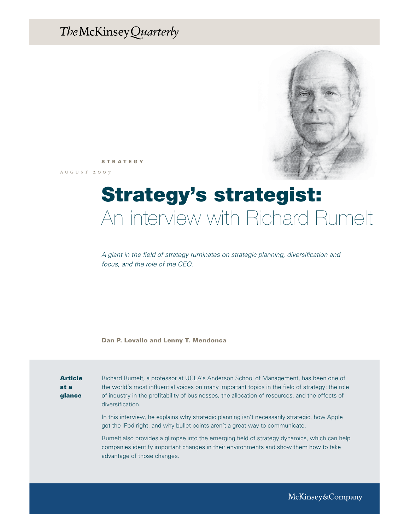# The McKinsey Quarterly



STRATEGY

a u g u s t 2 0 0 7

# Strategy's strategist: An interview with Richard Rumelt

*A giant in the field of strategy ruminates on strategic planning, diversification and focus, and the role of the CEO.*

Dan P. Lovallo and Lenny T. Mendonca

Article at a glance Richard Rumelt, a professor at UCLA's Anderson School of Management, has been one of the world's most influential voices on many important topics in the field of strategy: the role of industry in the profitability of businesses, the allocation of resources, and the effects of diversification.

In this interview, he explains why strategic planning isn't necessarily strategic, how Apple got the iPod right, and why bullet points aren't a great way to communicate.

Rumelt also provides a glimpse into the emerging field of strategy dynamics, which can help companies identify important changes in their environments and show them how to take advantage of those changes.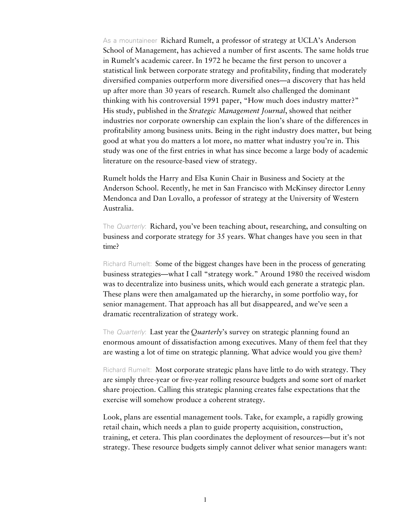As a mountaineer Richard Rumelt, a professor of strategy at UCLA's Anderson School of Management, has achieved a number of first ascents. The same holds true in Rumelt's academic career. In 1972 he became the first person to uncover a statistical link between corporate strategy and profitability, finding that moderately diversified companies outperform more diversified ones—a discovery that has held up after more than 30 years of research. Rumelt also challenged the dominant thinking with his controversial 1991 paper, "How much does industry matter?" His study, published in the *Strategic Management Journal* , showed that neither industries nor corporate ownership can explain the lion's share of the differences in profitability among business units. Being in the right industry does matter, but being good at what you do matters a lot more, no matter what industry you're in. This study was one of the first entries in what has since become a large body of academic literature on the resource-based view of strategy.

Rumelt holds the Harry and Elsa Kunin Chair in Business and Society at the Anderson School. Recently, he met in San Francisco with McKinsey director Lenny Mendonca and Dan Lovallo, a professor of strategy at the University of Western Australia.

The *Quarterly*: **Richard, you've been teaching about, researching, and consulting on** business and corporate strategy for 35 years. What changes have you seen in that time?

Richard Rumelt: Some of the biggest changes have been in the process of generating business strategies—what I call "strategy work." Around 1980 the received wisdom was to decentralize into business units, which would each generate a strategic plan. These plans were then amalgamated up the hierarchy, in some portfolio way, for senior management. That approach has all but disappeared, and we've seen a dramatic recentralization of strategy work.

The Quarterly: Last year the *Quarterly*'s survey on strategic planning found an enormous amount of dissatisfaction among executives. Many of them feel that they are wasting a lot of time on strategic planning. What advice would you give them?

Richard Rumelt: Most corporate strategic plans have little to do with strategy. They are simply three-year or five-year rolling resource budgets and some sort of market share projection. Calling this strategic planning creates false expectations that the exercise will somehow produce a coherent strategy.

Look, plans are essential management tools. Take, for example, a rapidly growing retail chain, which needs a plan to guide property acquisition, construction, training, et cetera. This plan coordinates the deployment of resources—but it's not strategy. These resource budgets simply cannot deliver what senior managers want: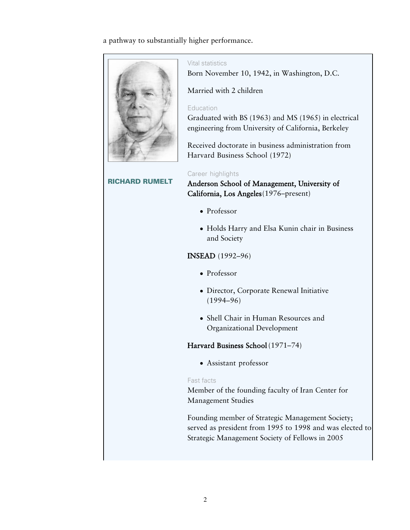a pathway to substantially higher performance.



#### Vital statistics

Born November 10, 1942, in Washington, D.C.

Married with 2 children

## Education

Graduated with BS (1963) and MS (1965) in electrical engineering from University of California, Berkeley

Received doctorate in business administration from Harvard Business School (1972)

#### Career highlights

Anderson School of Management, University of California, Los Angeles (1976–present)

- Professor
- Holds Harry and Elsa Kunin chair in Business and Society

# INSEAD (1992–96)

- Professor
- Director, Corporate Renewal Initiative (1994–96)
- Shell Chair in Human Resources and Organizational Development

# Harvard Business School (1971–74)

Assistant professor

# Fast facts

Member of the founding faculty of Iran Center for Management Studies

Founding member of Strategic Management Society; served as president from 1995 to 1998 and was elected to Strategic Management Society of Fellows in 2005

# RICHARD RUMELT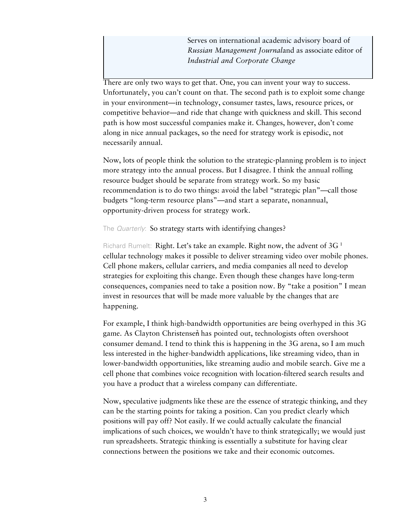Serves on international academic advisory board of *Russian Management Journaland as associate editor of Industrial and Corporate Change*

There are only two ways to get that. One, you can invent your way to success. Unfortunately, you can't count on that. The second path is to exploit some change in your environment—in technology, consumer tastes, laws, resource prices, or competitive behavior—and ride that change with quickness and skill. This second path is how most successful companies make it. Changes, however, don't come along in nice annual packages, so the need for strategy work is episodic, not necessarily annual.

Now, lots of people think the solution to the strategic-planning problem is to inject more strategy into the annual process. But I disagree. I think the annual rolling resource budget should be separate from strategy work. So my basic recommendation is to do two things: avoid the label "strategic plan"—call those budgets "long-term resource plans"—and start a separate, nonannual, opportunity-driven process for strategy work.

## The Quarterly: So strategy starts with identifying changes?

Richard Rumelt: Right. Let's take an example. Right now, the advent of 3G<sup>1</sup> cellular technology makes it possible to deliver streaming video over mobile phones. Cell phone makers, cellular carriers, and media companies all need to develop strategies for exploiting this change. Even though these changes have long-term consequences, companies need to take a position now. By "take a position" I mean invest in resources that will be made more valuable by the changes that are happening.

For example, I think high-bandwidth opportunities are being overhyped in this 3G game. As Clayton Christensen has pointed out, technologists often overshoot consumer demand. I tend to think this is happening in the 3G arena, so I am much less interested in the higher-bandwidth applications, like streaming video, than in lower-bandwidth opportunities, like streaming audio and mobile search. Give me a cell phone that combines voice recognition with location-filtered search results and you have a product that a wireless company can differentiate.

Now, speculative judgments like these are the essence of strategic thinking, and they can be the starting points for taking a position. Can you predict clearly which positions will pay off? Not easily. If we could actually calculate the financial implications of such choices, we wouldn't have to think strategically; we would just run spreadsheets. Strategic thinking is essentially a substitute for having clear connections between the positions we take and their economic outcomes.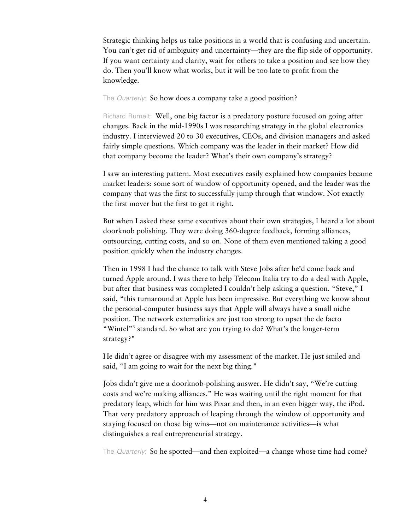Strategic thinking helps us take positions in a world that is confusing and uncertain. You can't get rid of ambiguity and uncertainty—they are the flip side of opportunity. If you want certainty and clarity, wait for others to take a position and see how they do. Then you'll know what works, but it will be too late to profit from the knowledge.

The *Quarterly*: So how does a company take a good position?

Richard Rumelt: Well, one big factor is a predatory posture focused on going after changes. Back in the mid-1990s I was researching strategy in the global electronics industry. I interviewed 20 to 30 executives, CEOs, and division managers and asked fairly simple questions. Which company was the leader in their market? How did that company become the leader? What's their own company's strategy?

I saw an interesting pattern. Most executives easily explained how companies became market leaders: some sort of window of opportunity opened, and the leader was the company that was the first to successfully jump through that window. Not exactly the first mover but the first to get it right.

But when I asked these same executives about their own strategies, I heard a lot about doorknob polishing. They were doing 360-degree feedback, forming alliances, outsourcing, cutting costs, and so on. None of them even mentioned taking a good position quickly when the industry changes.

Then in 1998 I had the chance to talk with Steve Jobs after he'd come back and turned Apple around. I was there to help Telecom Italia try to do a deal with Apple, but after that business was completed I couldn't help asking a question. "Steve," I said, "this turnaround at Apple has been impressive. But everything we know about the personal-computer business says that Apple will always have a small niche position. The network externalities are just too strong to upset the de facto "Wintel"<sup>3</sup> standard. So what are you trying to do? What's the longer-term strategy?"

He didn't agree or disagree with my assessment of the market. He just smiled and said, "I am going to wait for the next big thing."

Jobs didn't give me a doorknob-polishing answer. He didn't say, "We're cutting costs and we're making alliances." He was waiting until the right moment for that predatory leap, which for him was Pixar and then, in an even bigger way, the iPod. That very predatory approach of leaping through the window of opportunity and staying focused on those big wins—not on maintenance activities—is what distinguishes a real entrepreneurial strategy.

The Quarterly: So he spotted—and then exploited—a change whose time had come?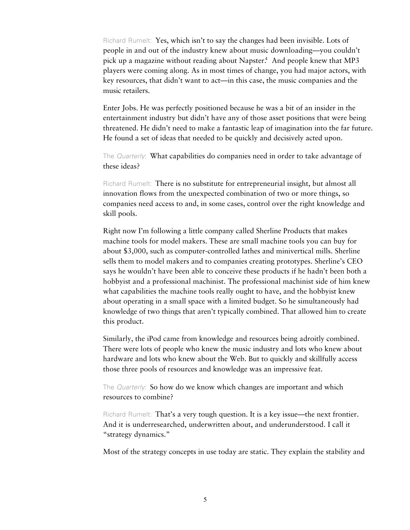Richard Rumelt: Yes, which isn't to say the changes had been invisible. Lots of people in and out of the industry knew about music downloading—you couldn't pick up a magazine without reading about Napster.<sup>4</sup> And people knew that MP3 players were coming along. As in most times of change, you had major actors, with key resources, that didn't want to act—in this case, the music companies and the music retailers.

Enter Jobs. He was perfectly positioned because he was a bit of an insider in the entertainment industry but didn't have any of those asset positions that were being threatened. He didn't need to make a fantastic leap of imagination into the far future. He found a set of ideas that needed to be quickly and decisively acted upon.

The *Quarterly*: What capabilities do companies need in order to take advantage of these ideas?

Richard Rumelt: There is no substitute for entrepreneurial insight, but almost all innovation flows from the unexpected combination of two or more things, so companies need access to and, in some cases, control over the right knowledge and skill pools.

Right now I'm following a little company called Sherline Products that makes machine tools for model makers. These are small machine tools you can buy for about \$3,000, such as computer-controlled lathes and minivertical mills. Sherline sells them to model makers and to companies creating prototypes. Sherline's CEO says he wouldn't have been able to conceive these products if he hadn't been both a hobbyist and a professional machinist. The professional machinist side of him knew what capabilities the machine tools really ought to have, and the hobbyist knew about operating in a small space with a limited budget. So he simultaneously had knowledge of two things that aren't typically combined. That allowed him to create this product.

Similarly, the iPod came from knowledge and resources being adroitly combined. There were lots of people who knew the music industry and lots who knew about hardware and lots who knew about the Web. But to quickly and skillfully access those three pools of resources and knowledge was an impressive feat.

The Quarterly: So how do we know which changes are important and which resources to combine?

Richard Rumelt: That's a very tough question. It is a key issue—the next frontier. And it is underresearched, underwritten about, and underunderstood. I call it "strategy dynamics."

Most of the strategy concepts in use today are static. They explain the stability and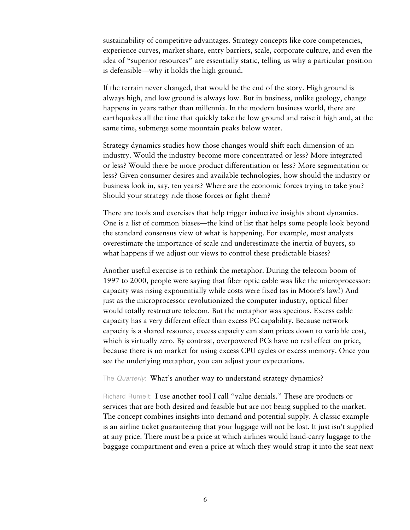sustainability of competitive advantages. Strategy concepts like core competencies, experience curves, market share, entry barriers, scale, corporate culture, and even the idea of "superior resources" are essentially static, telling us why a particular position is defensible—why it holds the high ground.

If the terrain never changed, that would be the end of the story. High ground is always high, and low ground is always low. But in business, unlike geology, change happens in years rather than millennia. In the modern business world, there are earthquakes all the time that quickly take the low ground and raise it high and, at the same time, submerge some mountain peaks below water.

Strategy dynamics studies how those changes would shift each dimension of an industry. Would the industry become more concentrated or less? More integrated or less? Would there be more product differentiation or less? More segmentation or less? Given consumer desires and available technologies, how should the industry or business look in, say, ten years? Where are the economic forces trying to take you? Should your strategy ride those forces or fight them?

There are tools and exercises that help trigger inductive insights about dynamics. One is a list of common biases—the kind of list that helps some people look beyond the standard consensus view of what is happening. For example, most analysts overestimate the importance of scale and underestimate the inertia of buyers, so what happens if we adjust our views to control these predictable biases?

Another useful exercise is to rethink the metaphor. During the telecom boom of 1997 to 2000, people were saying that fiber optic cable was like the microprocessor: capacity was rising exponentially while costs were fixed (as in Moore's law.<sup>5</sup>) And just as the microprocessor revolutionized the computer industry, optical fiber would totally restructure telecom. But the metaphor was specious. Excess cable capacity has a very different effect than excess PC capability. Because network capacity is a shared resource, excess capacity can slam prices down to variable cost, which is virtually zero. By contrast, overpowered PCs have no real effect on price, because there is no market for using excess CPU cycles or excess memory. Once you see the underlying metaphor, you can adjust your expectations.

The Quarterly: What's another way to understand strategy dynamics?

Richard Rumelt: I use another tool I call "value denials." These are products or services that are both desired and feasible but are not being supplied to the market. The concept combines insights into demand and potential supply. A classic example is an airline ticket guaranteeing that your luggage will not be lost. It just isn't supplied at any price. There must be a price at which airlines would hand-carry luggage to the baggage compartment and even a price at which they would strap it into the seat next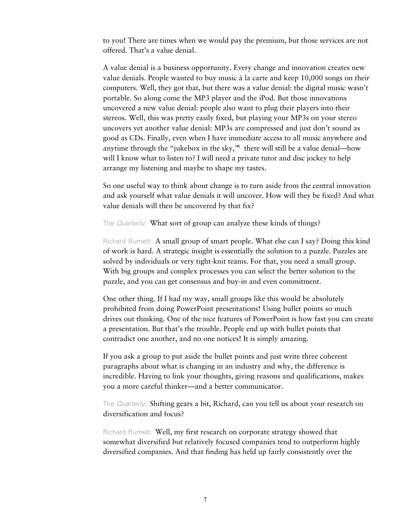to you! There are times when we would pay the premium, but those services are not offered. That's a value denial.

A value denial is a business opportunity. Every change and innovation creates new value denials. People wanted to buy music à la carte and keep 10,000 songs on their computers. Well, they got that, but there was a value denial: the digital music wasn't portable. So along come the MP3 player and the iPod. But those innovations uncovered a new value denial: people also want to plug their players into their stereos. Well, this was pretty easily fixed, but playing your MP3s on your stereo uncovers yet another value denial: MP3s are compressed and just don't sound as good as CDs. Finally, even when I have immediate access to all music anywhere and anytime through the "jukebox in the sky," there will still be a value denial—how will I know what to listen to? I will need a private tutor and disc jockey to help arrange my listening and maybe to shape my tastes.

So one useful way to think about change is to turn aside from the central innovation and ask yourself what value denials it will uncover. How will they be fixed? And what value denials will then be uncovered by that fix?

The *Quarterly*: What sort of group can analyze these kinds of things?

Richard Rumelt: A small group of smart people. What else can I say? Doing this kind of work is hard. A strategic insight is essentially the solution to a puzzle. Puzzles are solved by individuals or very tight-knit teams. For that, you need a small group. With big groups and complex processes you can select the better solution to the puzzle, and you can get consensus and buy-in and even commitment.

One other thing. If I had my way, small groups like this would be absolutely prohibited from doing PowerPoint presentations! Using bullet points so much drives out thinking. One of the nice features of PowerPoint is how fast you can create a presentation. But that's the trouble. People end up with bullet points that contradict one another, and no one notices! It is simply amazing.

If you ask a group to put aside the bullet points and just write three coherent paragraphs about what is changing in an industry and why, the difference is incredible. Having to link your thoughts, giving reasons and qualifications, makes you a more careful thinker—and a better communicator.

The *Quarterly*: Shifting gears a bit, Richard, can you tell us about your research on diversification and focus?

Richard Rumelt: Well, my first research on corporate strategy showed that somewhat diversified but relatively focused companies tend to outperform highly diversified companies. And that finding has held up fairly consistently over the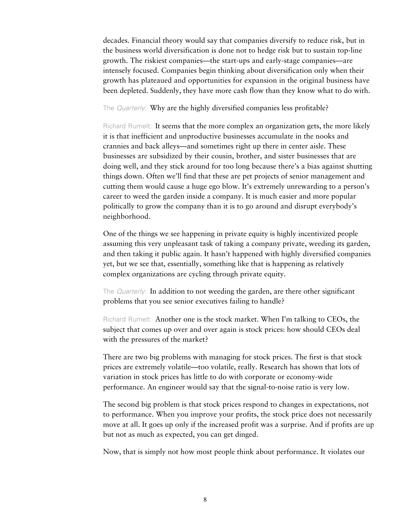decades. Financial theory would say that companies diversify to reduce risk, but in the business world diversification is done not to hedge risk but to sustain top-line growth. The riskiest companies—the start-ups and early-stage companies—are intensely focused. Companies begin thinking about diversification only when their growth has plateaued and opportunities for expansion in the original business have been depleted. Suddenly, they have more cash flow than they know what to do with.

#### The *Quarterly*: Why are the highly diversified companies less profitable?

Richard Rumelt: It seems that the more complex an organization gets, the more likely it is that inefficient and unproductive businesses accumulate in the nooks and crannies and back alleys—and sometimes right up there in center aisle. These businesses are subsidized by their cousin, brother, and sister businesses that are doing well, and they stick around for too long because there's a bias against shutting things down. Often we'll find that these are pet projects of senior management and cutting them would cause a huge ego blow. It's extremely unrewarding to a person's career to weed the garden inside a company. It is much easier and more popular politically to grow the company than it is to go around and disrupt everybody's neighborhood.

One of the things we see happening in private equity is highly incentivized people assuming this very unpleasant task of taking a company private, weeding its garden, and then taking it public again. It hasn't happened with highly diversified companies yet, but we see that, essentially, something like that is happening as relatively complex organizations are cycling through private equity.

The *Quarterly*: In addition to not weeding the garden, are there other significant problems that you see senior executives failing to handle?

Richard Rumelt: Another one is the stock market. When I'm talking to CEOs, the subject that comes up over and over again is stock prices: how should CEOs deal with the pressures of the market?

There are two big problems with managing for stock prices. The first is that stock prices are extremely volatile—too volatile, really. Research has shown that lots of variation in stock prices has little to do with corporate or economy-wide performance. An engineer would say that the signal-to-noise ratio is very low.

The second big problem is that stock prices respond to changes in expectations, not to performance. When you improve your profits, the stock price does not necessarily move at all. It goes up only if the increased profit was a surprise. And if profits are up but not as much as expected, you can get dinged.

Now, that is simply not how most people think about performance. It violates our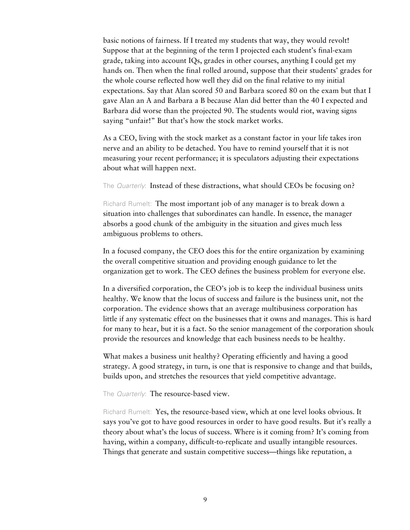basic notions of fairness. If I treated my students that way, they would revolt! Suppose that at the beginning of the term I projected each student's final-exam grade, taking into account IQs, grades in other courses, anything I could get my hands on. Then when the final rolled around, suppose that their students' grades for the whole course reflected how well they did on the final relative to my initial expectations. Say that Alan scored 50 and Barbara scored 80 on the exam but that I gave Alan an A and Barbara a B because Alan did better than the 40 I expected and Barbara did worse than the projected 90. The students would riot, waving signs saying "unfair!" But that's how the stock market works.

As a CEO, living with the stock market as a constant factor in your life takes iron nerve and an ability to be detached. You have to remind yourself that it is not measuring your recent performance; it is speculators adjusting their expectations about what will happen next.

The Quarterly: Instead of these distractions, what should CEOs be focusing on?

Richard Rumelt: The most important job of any manager is to break down a situation into challenges that subordinates can handle. In essence, the manager absorbs a good chunk of the ambiguity in the situation and gives much less ambiguous problems to others.

In a focused company, the CEO does this for the entire organization by examining the overall competitive situation and providing enough guidance to let the organization get to work. The CEO defines the business problem for everyone else.

In a diversified corporation, the CEO's job is to keep the individual business units healthy. We know that the locus of success and failure is the business unit, not the corporation. The evidence shows that an average multibusiness corporation has little if any systematic effect on the businesses that it owns and manages. This is hard for many to hear, but it is a fact. So the senior management of the corporation should provide the resources and knowledge that each business needs to be healthy.

What makes a business unit healthy? Operating efficiently and having a good strategy. A good strategy, in turn, is one that is responsive to change and that builds, builds upon, and stretches the resources that yield competitive advantage.

The Quarterly: The resource-based view.

Richard Rumelt: Yes, the resource-based view, which at one level looks obvious. It says you've got to have good resources in order to have good results. But it's really a theory about what's the locus of success. Where is it coming from? It's coming from having, within a company, difficult-to-replicate and usually intangible resources. Things that generate and sustain competitive success—things like reputation, a